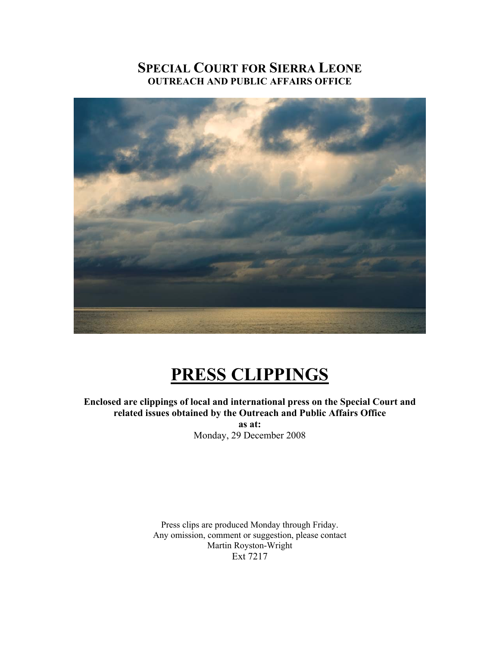# **SPECIAL COURT FOR SIERRA LEONE OUTREACH AND PUBLIC AFFAIRS OFFICE**



# **PRESS CLIPPINGS**

# **Enclosed are clippings of local and international press on the Special Court and related issues obtained by the Outreach and Public Affairs Office**

**as at:**  Monday, 29 December 2008

Press clips are produced Monday through Friday. Any omission, comment or suggestion, please contact Martin Royston-Wright Ext 7217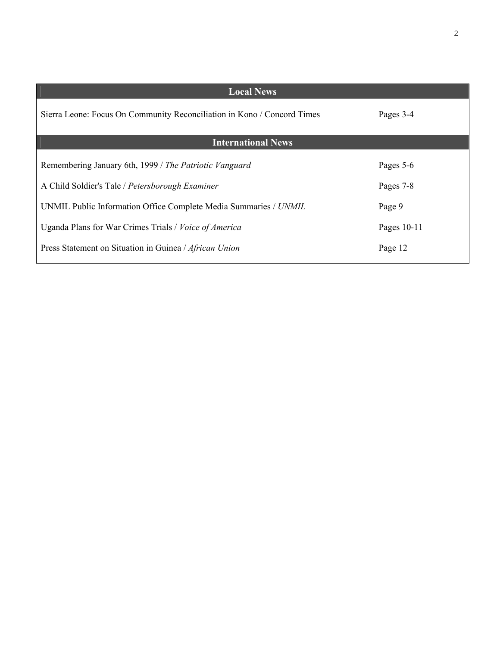| <b>Local News</b>                                                       |             |  |  |  |
|-------------------------------------------------------------------------|-------------|--|--|--|
| Sierra Leone: Focus On Community Reconciliation in Kono / Concord Times | Pages 3-4   |  |  |  |
| <b>International News</b>                                               |             |  |  |  |
| Remembering January 6th, 1999 / The Patriotic Vanguard                  | Pages 5-6   |  |  |  |
| A Child Soldier's Tale / Petersborough Examiner                         | Pages 7-8   |  |  |  |
| UNMIL Public Information Office Complete Media Summaries / UNMIL        | Page 9      |  |  |  |
| Uganda Plans for War Crimes Trials / Voice of America                   | Pages 10-11 |  |  |  |
| Press Statement on Situation in Guinea / African Union                  | Page 12     |  |  |  |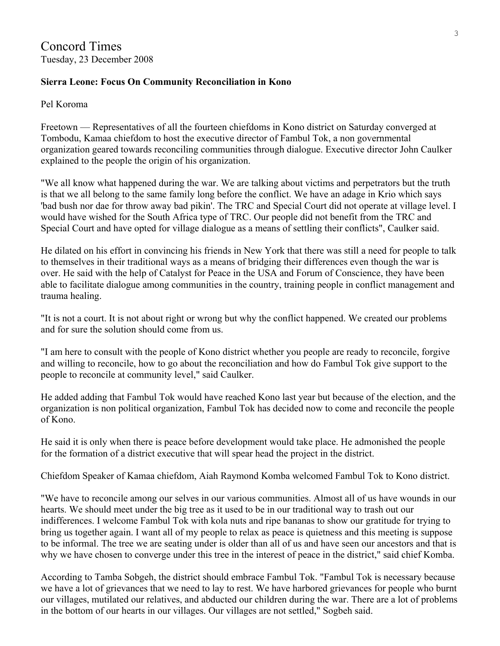# **Sierra Leone: Focus On Community Reconciliation in Kono**

## Pel Koroma

Freetown — Representatives of all the fourteen chiefdoms in Kono district on Saturday converged at Tombodu, Kamaa chiefdom to host the executive director of Fambul Tok, a non governmental organization geared towards reconciling communities through dialogue. Executive director John Caulker explained to the people the origin of his organization.

"We all know what happened during the war. We are talking about victims and perpetrators but the truth is that we all belong to the same family long before the conflict. We have an adage in Krio which says 'bad bush nor dae for throw away bad pikin'. The TRC and Special Court did not operate at village level. I would have wished for the South Africa type of TRC. Our people did not benefit from the TRC and Special Court and have opted for village dialogue as a means of settling their conflicts", Caulker said.

He dilated on his effort in convincing his friends in New York that there was still a need for people to talk to themselves in their traditional ways as a means of bridging their differences even though the war is over. He said with the help of Catalyst for Peace in the USA and Forum of Conscience, they have been able to facilitate dialogue among communities in the country, training people in conflict management and trauma healing.

"It is not a court. It is not about right or wrong but why the conflict happened. We created our problems and for sure the solution should come from us.

"I am here to consult with the people of Kono district whether you people are ready to reconcile, forgive and willing to reconcile, how to go about the reconciliation and how do Fambul Tok give support to the people to reconcile at community level," said Caulker.

He added adding that Fambul Tok would have reached Kono last year but because of the election, and the organization is non political organization, Fambul Tok has decided now to come and reconcile the people of Kono.

He said it is only when there is peace before development would take place. He admonished the people for the formation of a district executive that will spear head the project in the district.

Chiefdom Speaker of Kamaa chiefdom, Aiah Raymond Komba welcomed Fambul Tok to Kono district.

"We have to reconcile among our selves in our various communities. Almost all of us have wounds in our hearts. We should meet under the big tree as it used to be in our traditional way to trash out our indifferences. I welcome Fambul Tok with kola nuts and ripe bananas to show our gratitude for trying to bring us together again. I want all of my people to relax as peace is quietness and this meeting is suppose to be informal. The tree we are seating under is older than all of us and have seen our ancestors and that is why we have chosen to converge under this tree in the interest of peace in the district," said chief Komba.

According to Tamba Sobgeh, the district should embrace Fambul Tok. "Fambul Tok is necessary because we have a lot of grievances that we need to lay to rest. We have harbored grievances for people who burnt our villages, mutilated our relatives, and abducted our children during the war. There are a lot of problems in the bottom of our hearts in our villages. Our villages are not settled," Sogbeh said.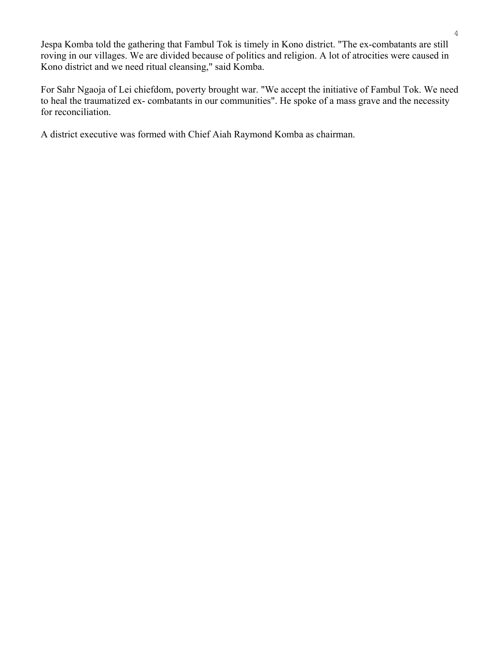Jespa Komba told the gathering that Fambul Tok is timely in Kono district. "The ex-combatants are still roving in our villages. We are divided because of politics and religion. A lot of atrocities were caused in Kono district and we need ritual cleansing," said Komba.

For Sahr Ngaoja of Lei chiefdom, poverty brought war. "We accept the initiative of Fambul Tok. We need to heal the traumatized ex- combatants in our communities". He spoke of a mass grave and the necessity for reconciliation.

A district executive was formed with Chief Aiah Raymond Komba as chairman.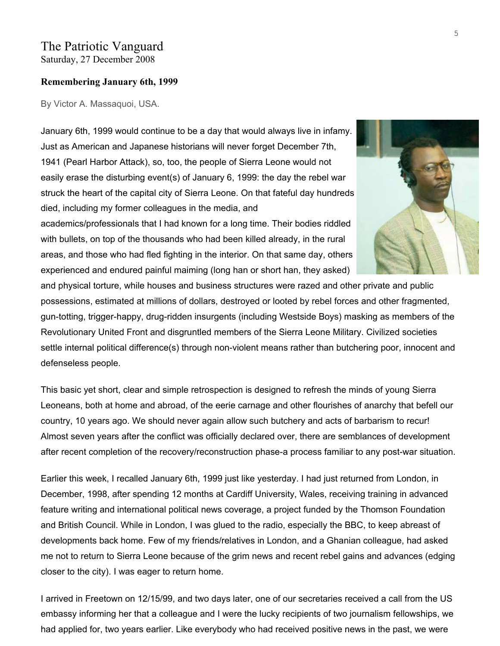## The Patriotic Vanguard Saturday, 27 December 2008

#### **Remembering January 6th, 1999**

By Victor A. Massaquoi, USA.

January 6th, 1999 would continue to be a day that would always live in infamy. Just as American and Japanese historians will never forget December 7th, 1941 (Pearl Harbor Attack), so, too, the people of Sierra Leone would not easily erase the disturbing event(s) of January 6, 1999: the day the rebel war struck the heart of the capital city of Sierra Leone. On that fateful day hundreds died, including my former colleagues in the media, and academics/professionals that I had known for a long time. Their bodies riddled with bullets, on top of the thousands who had been killed already, in the rural areas, and those who had fled fighting in the interior. On that same day, others

experienced and endured painful maiming (long han or short han, they asked) and physical torture, while houses and business structures were razed and other private and public possessions, estimated at millions of dollars, destroyed or looted by rebel forces and other fragmented, gun-totting, trigger-happy, drug-ridden insurgents (including Westside Boys) masking as members of the Revolutionary United Front and disgruntled members of the Sierra Leone Military. Civilized societies settle internal political difference(s) through non-violent means rather than butchering poor, innocent and defenseless people.

This basic yet short, clear and simple retrospection is designed to refresh the minds of young Sierra Leoneans, both at home and abroad, of the eerie carnage and other flourishes of anarchy that befell our country, 10 years ago. We should never again allow such butchery and acts of barbarism to recur! Almost seven years after the conflict was officially declared over, there are semblances of development after recent completion of the recovery/reconstruction phase-a process familiar to any post-war situation.

Earlier this week, I recalled January 6th, 1999 just like yesterday. I had just returned from London, in December, 1998, after spending 12 months at Cardiff University, Wales, receiving training in advanced feature writing and international political news coverage, a project funded by the Thomson Foundation and British Council. While in London, I was glued to the radio, especially the BBC, to keep abreast of developments back home. Few of my friends/relatives in London, and a Ghanian colleague, had asked me not to return to Sierra Leone because of the grim news and recent rebel gains and advances (edging closer to the city). I was eager to return home.

I arrived in Freetown on 12/15/99, and two days later, one of our secretaries received a call from the US embassy informing her that a colleague and I were the lucky recipients of two journalism fellowships, we had applied for, two years earlier. Like everybody who had received positive news in the past, we were

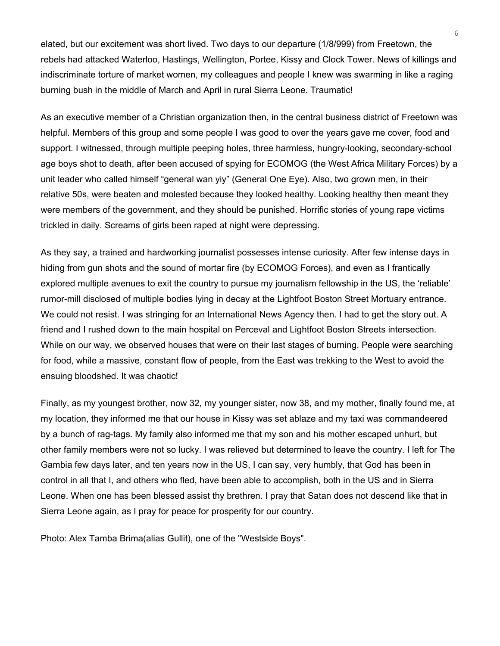elated, but our excitement was short lived. Two days to our departure (1/8/999) from Freetown, the rebels had attacked Waterloo, Hastings, Wellington, Portee, Kissy and Clock Tower. News of killings and indiscriminate torture of market women, my colleagues and people I knew was swarming in like a raging burning bush in the middle of March and April in rural Sierra Leone. Traumatic!

As an executive member of a Christian organization then, in the central business district of Freetown was helpful. Members of this group and some people I was good to over the years gave me cover, food and support. I witnessed, through multiple peeping holes, three harmless, hungry-looking, secondary-school age boys shot to death, after been accused of spying for ECOMOG (the West Africa Military Forces) by a unit leader who called himself "general wan yiy" (General One Eye). Also, two grown men, in their relative 50s, were beaten and molested because they looked healthy. Looking healthy then meant they were members of the government, and they should be punished. Horrific stories of young rape victims trickled in daily. Screams of girls been raped at night were depressing.

As they say, a trained and hardworking journalist possesses intense curiosity. After few intense days in hiding from gun shots and the sound of mortar fire (by ECOMOG Forces), and even as I frantically explored multiple avenues to exit the country to pursue my journalism fellowship in the US, the 'reliable' rumor-mill disclosed of multiple bodies lying in decay at the Lightfoot Boston Street Mortuary entrance. We could not resist. I was stringing for an International News Agency then. I had to get the story out. A friend and I rushed down to the main hospital on Perceval and Lightfoot Boston Streets intersection. While on our way, we observed houses that were on their last stages of burning. People were searching for food, while a massive, constant flow of people, from the East was trekking to the West to avoid the ensuing bloodshed. It was chaotic!

Finally, as my youngest brother, now 32, my younger sister, now 38, and my mother, finally found me, at my location, they informed me that our house in Kissy was set ablaze and my taxi was commandeered by a bunch of rag-tags. My family also informed me that my son and his mother escaped unhurt, but other family members were not so lucky. I was relieved but determined to leave the country. I left for The Gambia few days later, and ten years now in the US, I can say, very humbly, that God has been in control in all that I, and others who fled, have been able to accomplish, both in the US and in Sierra Leone. When one has been blessed assist thy brethren. I pray that Satan does not descend like that in Sierra Leone again, as I pray for peace for prosperity for our country.

Photo: Alex Tamba Brima(alias Gullit), one of the "Westside Boys".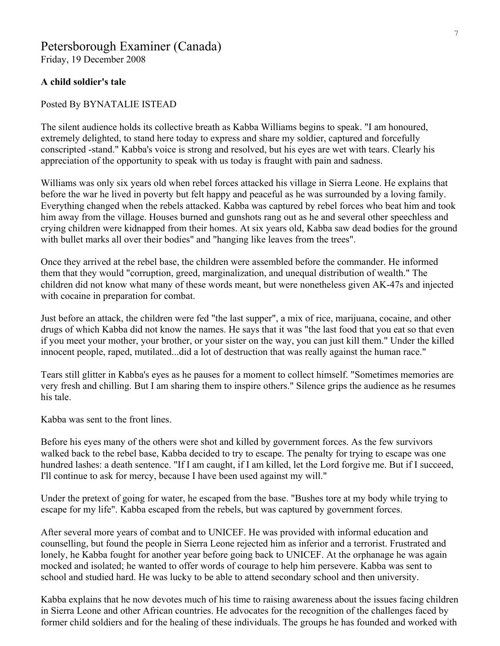# Petersborough Examiner (Canada)

Friday, 19 December 2008

#### **A child soldier's tale**

#### Posted By BYNATALIE ISTEAD

The silent audience holds its collective breath as Kabba Williams begins to speak. "I am honoured, extremely delighted, to stand here today to express and share my soldier, captured and forcefully conscripted -stand." Kabba's voice is strong and resolved, but his eyes are wet with tears. Clearly his appreciation of the opportunity to speak with us today is fraught with pain and sadness.

Williams was only six years old when rebel forces attacked his village in Sierra Leone. He explains that before the war he lived in poverty but felt happy and peaceful as he was surrounded by a loving family. Everything changed when the rebels attacked. Kabba was captured by rebel forces who beat him and took him away from the village. Houses burned and gunshots rang out as he and several other speechless and crying children were kidnapped from their homes. At six years old, Kabba saw dead bodies for the ground with bullet marks all over their bodies" and "hanging like leaves from the trees".

Once they arrived at the rebel base, the children were assembled before the commander. He informed them that they would "corruption, greed, marginalization, and unequal distribution of wealth." The children did not know what many of these words meant, but were nonetheless given AK-47s and injected with cocaine in preparation for combat.

Just before an attack, the children were fed "the last supper", a mix of rice, marijuana, cocaine, and other drugs of which Kabba did not know the names. He says that it was "the last food that you eat so that even if you meet your mother, your brother, or your sister on the way, you can just kill them." Under the killed innocent people, raped, mutilated...did a lot of destruction that was really against the human race."

Tears still glitter in Kabba's eyes as he pauses for a moment to collect himself. "Sometimes memories are very fresh and chilling. But I am sharing them to inspire others." Silence grips the audience as he resumes his tale.

Kabba was sent to the front lines.

Before his eyes many of the others were shot and killed by government forces. As the few survivors walked back to the rebel base, Kabba decided to try to escape. The penalty for trying to escape was one hundred lashes: a death sentence. "If I am caught, if I am killed, let the Lord forgive me. But if I succeed, I'll continue to ask for mercy, because I have been used against my will."

Under the pretext of going for water, he escaped from the base. "Bushes tore at my body while trying to escape for my life". Kabba escaped from the rebels, but was captured by government forces.

After several more years of combat and to UNICEF. He was provided with informal education and counselling, but found the people in Sierra Leone rejected him as inferior and a terrorist. Frustrated and lonely, he Kabba fought for another year before going back to UNICEF. At the orphanage he was again mocked and isolated; he wanted to offer words of courage to help him persevere. Kabba was sent to school and studied hard. He was lucky to be able to attend secondary school and then university.

Kabba explains that he now devotes much of his time to raising awareness about the issues facing children in Sierra Leone and other African countries. He advocates for the recognition of the challenges faced by former child soldiers and for the healing of these individuals. The groups he has founded and worked with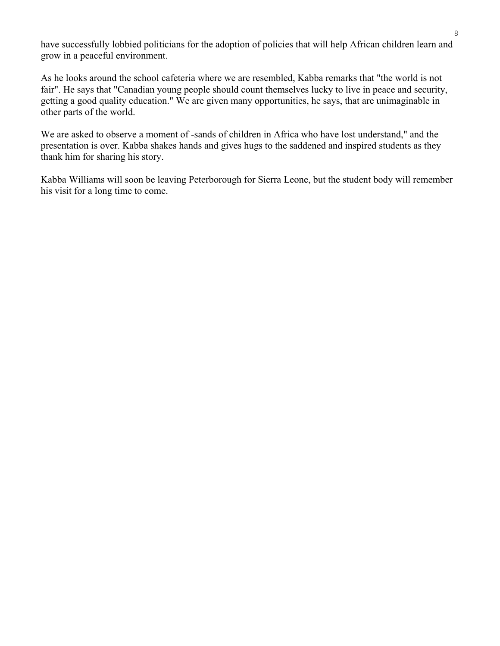have successfully lobbied politicians for the adoption of policies that will help African children learn and grow in a peaceful environment.

As he looks around the school cafeteria where we are resembled, Kabba remarks that "the world is not fair". He says that "Canadian young people should count themselves lucky to live in peace and security, getting a good quality education." We are given many opportunities, he says, that are unimaginable in other parts of the world.

We are asked to observe a moment of -sands of children in Africa who have lost understand," and the presentation is over. Kabba shakes hands and gives hugs to the saddened and inspired students as they thank him for sharing his story.

Kabba Williams will soon be leaving Peterborough for Sierra Leone, but the student body will remember his visit for a long time to come.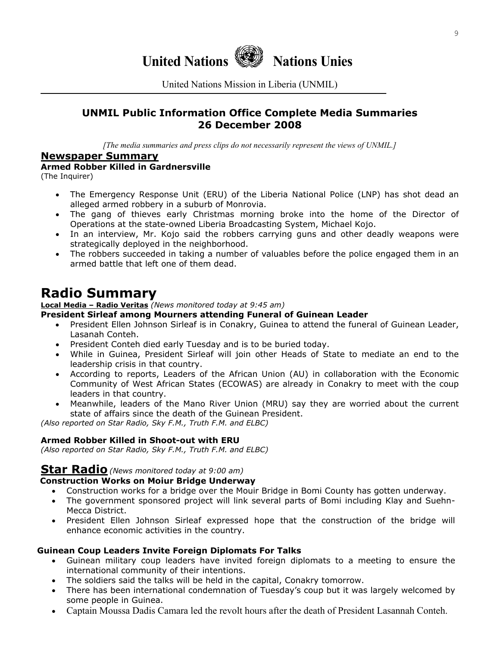

United Nations Mission in Liberia (UNMIL)

# **UNMIL Public Information Office Complete Media Summaries 26 December 2008**

*[The media summaries and press clips do not necessarily represent the views of UNMIL.]*

#### **Newspaper Summary**

#### **Armed Robber Killed in Gardnersville**

(The Inquirer)

- The Emergency Response Unit (ERU) of the Liberia National Police (LNP) has shot dead an alleged armed robbery in a suburb of Monrovia.
- The gang of thieves early Christmas morning broke into the home of the Director of Operations at the state-owned Liberia Broadcasting System, Michael Kojo.
- In an interview, Mr. Kojo said the robbers carrying guns and other deadly weapons were strategically deployed in the neighborhood.
- The robbers succeeded in taking a number of valuables before the police engaged them in an armed battle that left one of them dead.

# **Radio Summary**

**Local Media – Radio Veritas** *(News monitored today at 9:45 am)* 

#### **President Sirleaf among Mourners attending Funeral of Guinean Leader**

- President Ellen Johnson Sirleaf is in Conakry, Guinea to attend the funeral of Guinean Leader, Lasanah Conteh.
- President Conteh died early Tuesday and is to be buried today.
- While in Guinea, President Sirleaf will join other Heads of State to mediate an end to the leadership crisis in that country.
- According to reports, Leaders of the African Union (AU) in collaboration with the Economic Community of West African States (ECOWAS) are already in Conakry to meet with the coup leaders in that country.
- Meanwhile, leaders of the Mano River Union (MRU) say they are worried about the current state of affairs since the death of the Guinean President.

*(Also reported on Star Radio, Sky F.M., Truth F.M. and ELBC)* 

#### **Armed Robber Killed in Shoot-out with ERU**

*(Also reported on Star Radio, Sky F.M., Truth F.M. and ELBC)* 

## **Star Radio***(News monitored today at 9:00 am)*

#### **Construction Works on Moiur Bridge Underway**

- Construction works for a bridge over the Mouir Bridge in Bomi County has gotten underway.
- The government sponsored project will link several parts of Bomi including Klay and Suehn-Mecca District.
- President Ellen Johnson Sirleaf expressed hope that the construction of the bridge will enhance economic activities in the country.

#### **Guinean Coup Leaders Invite Foreign Diplomats For Talks**

- Guinean military coup leaders have invited foreign diplomats to a meeting to ensure the international community of their intentions.
- The soldiers said the talks will be held in the capital, Conakry tomorrow.
- There has been international condemnation of Tuesday's coup but it was largely welcomed by some people in Guinea.
- Captain Moussa Dadis Camara led the revolt hours after the death of President Lasannah Conteh.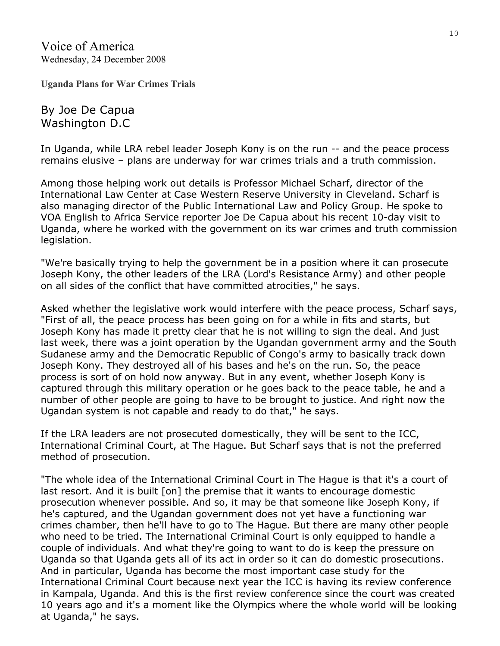Voice of America Wednesday, 24 December 2008

**Uganda Plans for War Crimes Trials** 

By Joe De Capua Washington D.C

In Uganda, while LRA rebel leader Joseph Kony is on the run -- and the peace process remains elusive – plans are underway for war crimes trials and a truth commission.

Among those helping work out details is Professor Michael Scharf, director of the International Law Center at Case Western Reserve University in Cleveland. Scharf is also managing director of the Public International Law and Policy Group. He spoke to VOA English to Africa Service reporter Joe De Capua about his recent 10-day visit to Uganda, where he worked with the government on its war crimes and truth commission legislation.

"We're basically trying to help the government be in a position where it can prosecute Joseph Kony, the other leaders of the LRA (Lord's Resistance Army) and other people on all sides of the conflict that have committed atrocities," he says.

Asked whether the legislative work would interfere with the peace process, Scharf says, "First of all, the peace process has been going on for a while in fits and starts, but Joseph Kony has made it pretty clear that he is not willing to sign the deal. And just last week, there was a joint operation by the Ugandan government army and the South Sudanese army and the Democratic Republic of Congo's army to basically track down Joseph Kony. They destroyed all of his bases and he's on the run. So, the peace process is sort of on hold now anyway. But in any event, whether Joseph Kony is captured through this military operation or he goes back to the peace table, he and a number of other people are going to have to be brought to justice. And right now the Ugandan system is not capable and ready to do that," he says.

If the LRA leaders are not prosecuted domestically, they will be sent to the ICC, International Criminal Court, at The Hague. But Scharf says that is not the preferred method of prosecution.

"The whole idea of the International Criminal Court in The Hague is that it's a court of last resort. And it is built [on] the premise that it wants to encourage domestic prosecution whenever possible. And so, it may be that someone like Joseph Kony, if he's captured, and the Ugandan government does not yet have a functioning war crimes chamber, then he'll have to go to The Hague. But there are many other people who need to be tried. The International Criminal Court is only equipped to handle a couple of individuals. And what they're going to want to do is keep the pressure on Uganda so that Uganda gets all of its act in order so it can do domestic prosecutions. And in particular, Uganda has become the most important case study for the International Criminal Court because next year the ICC is having its review conference in Kampala, Uganda. And this is the first review conference since the court was created 10 years ago and it's a moment like the Olympics where the whole world will be looking at Uganda," he says.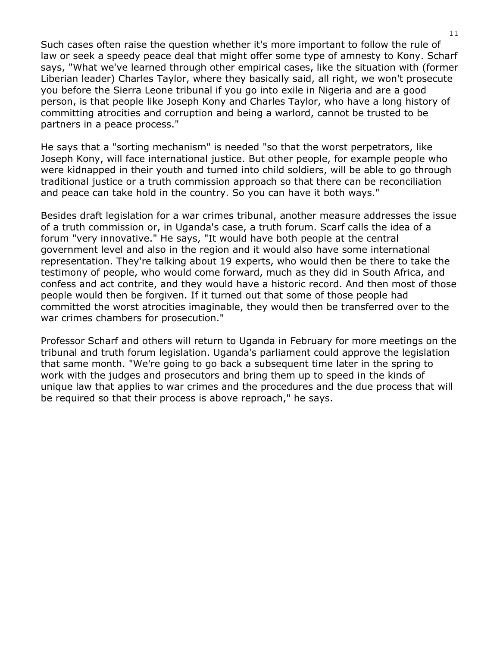Such cases often raise the question whether it's more important to follow the rule of law or seek a speedy peace deal that might offer some type of amnesty to Kony. Scharf says, "What we've learned through other empirical cases, like the situation with (former Liberian leader) Charles Taylor, where they basically said, all right, we won't prosecute you before the Sierra Leone tribunal if you go into exile in Nigeria and are a good person, is that people like Joseph Kony and Charles Taylor, who have a long history of committing atrocities and corruption and being a warlord, cannot be trusted to be partners in a peace process."

He says that a "sorting mechanism" is needed "so that the worst perpetrators, like Joseph Kony, will face international justice. But other people, for example people who were kidnapped in their youth and turned into child soldiers, will be able to go through traditional justice or a truth commission approach so that there can be reconciliation and peace can take hold in the country. So you can have it both ways."

Besides draft legislation for a war crimes tribunal, another measure addresses the issue of a truth commission or, in Uganda's case, a truth forum. Scarf calls the idea of a forum "very innovative." He says, "It would have both people at the central government level and also in the region and it would also have some international representation. They're talking about 19 experts, who would then be there to take the testimony of people, who would come forward, much as they did in South Africa, and confess and act contrite, and they would have a historic record. And then most of those people would then be forgiven. If it turned out that some of those people had committed the worst atrocities imaginable, they would then be transferred over to the war crimes chambers for prosecution."

Professor Scharf and others will return to Uganda in February for more meetings on the tribunal and truth forum legislation. Uganda's parliament could approve the legislation that same month. "We're going to go back a subsequent time later in the spring to work with the judges and prosecutors and bring them up to speed in the kinds of unique law that applies to war crimes and the procedures and the due process that will be required so that their process is above reproach," he says.